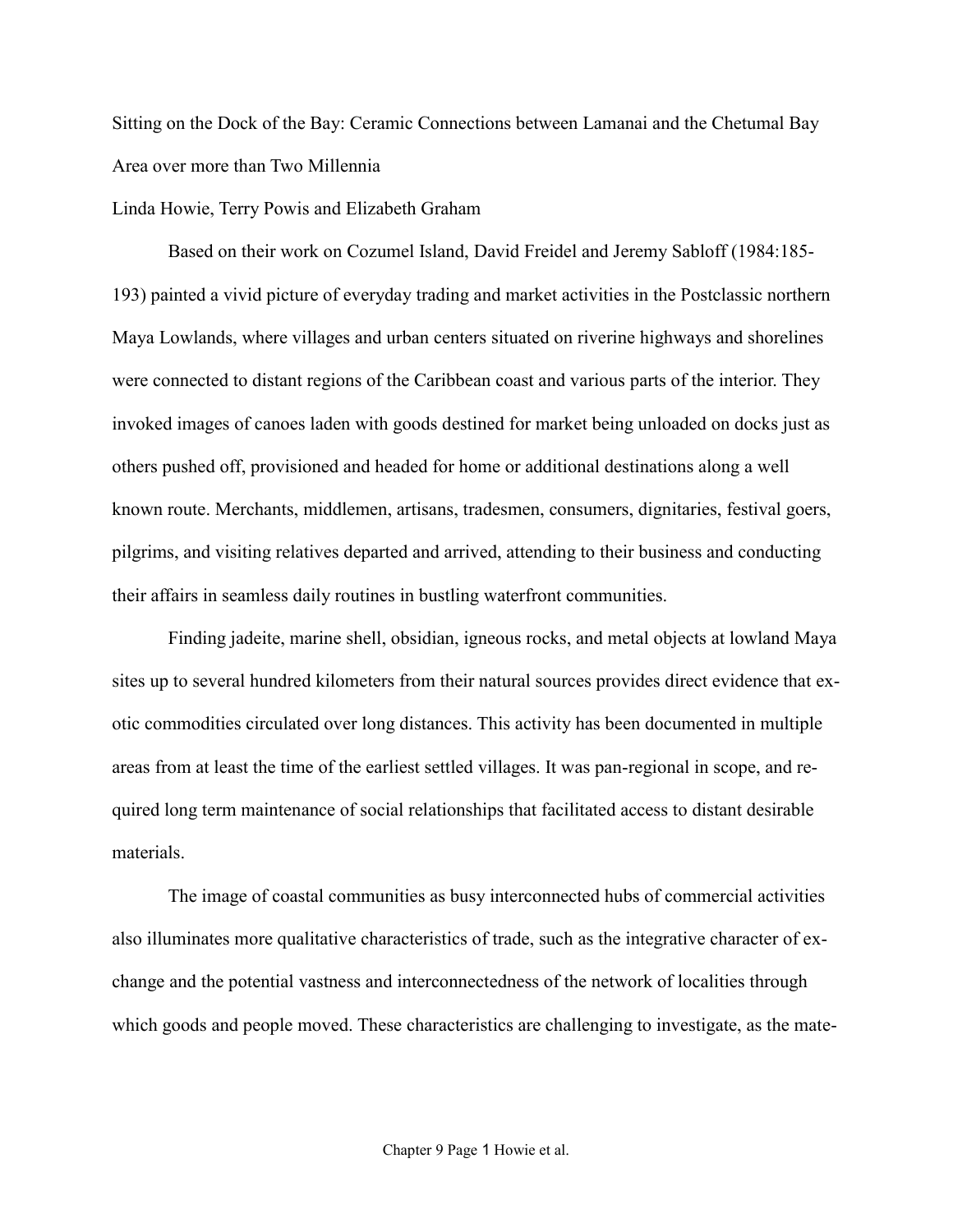Sitting on the Dock of the Bay: Ceramic Connections between Lamanai and the Chetumal Bay Area over more than Two Millennia

### Linda Howie, Terry Powis and Elizabeth Graham

Based on their work on Cozumel Island, David Freidel and Jeremy Sabloff (1984:185- 193) painted a vivid picture of everyday trading and market activities in the Postclassic northern Maya Lowlands, where villages and urban centers situated on riverine highways and shorelines were connected to distant regions of the Caribbean coast and various parts of the interior. They invoked images of canoes laden with goods destined for market being unloaded on docks just as others pushed off, provisioned and headed for home or additional destinations along a well known route. Merchants, middlemen, artisans, tradesmen, consumers, dignitaries, festival goers, pilgrims, and visiting relatives departed and arrived, attending to their business and conducting their affairs in seamless daily routines in bustling waterfront communities.

Finding jadeite, marine shell, obsidian, igneous rocks, and metal objects at lowland Maya sites up to several hundred kilometers from their natural sources provides direct evidence that exotic commodities circulated over long distances. This activity has been documented in multiple areas from at least the time of the earliest settled villages. It was pan-regional in scope, and required long term maintenance of social relationships that facilitated access to distant desirable materials.

The image of coastal communities as busy interconnected hubs of commercial activities also illuminates more qualitative characteristics of trade, such as the integrative character of exchange and the potential vastness and interconnectedness of the network of localities through which goods and people moved. These characteristics are challenging to investigate, as the mate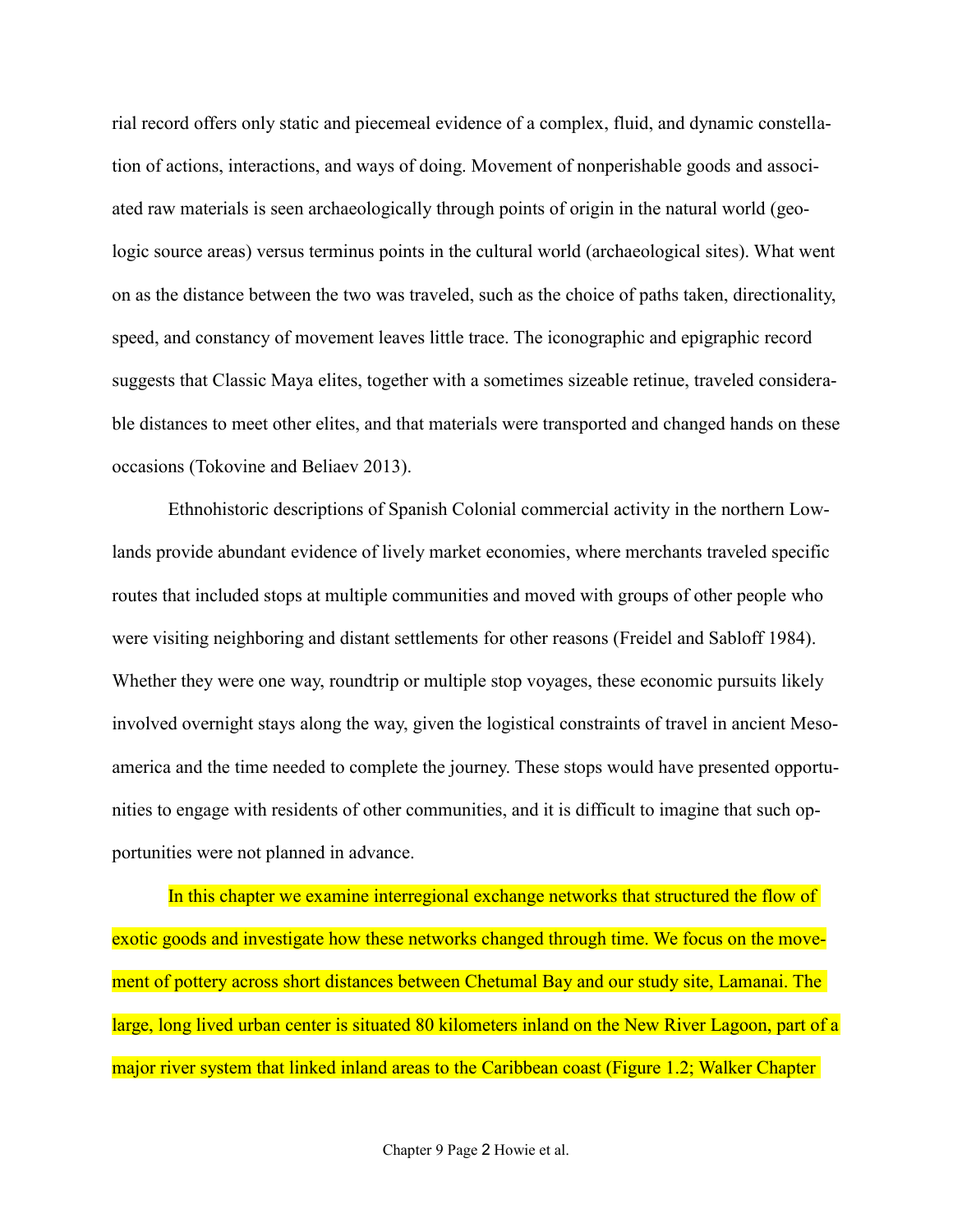rial record offers only static and piecemeal evidence of a complex, fluid, and dynamic constellation of actions, interactions, and ways of doing. Movement of nonperishable goods and associated raw materials is seen archaeologically through points of origin in the natural world (geologic source areas) versus terminus points in the cultural world (archaeological sites). What went on as the distance between the two was traveled, such as the choice of paths taken, directionality, speed, and constancy of movement leaves little trace. The iconographic and epigraphic record suggests that Classic Maya elites, together with a sometimes sizeable retinue, traveled considerable distances to meet other elites, and that materials were transported and changed hands on these occasions (Tokovine and Beliaev 2013).

Ethnohistoric descriptions of Spanish Colonial commercial activity in the northern Lowlands provide abundant evidence of lively market economies, where merchants traveled specific routes that included stops at multiple communities and moved with groups of other people who were visiting neighboring and distant settlements for other reasons (Freidel and Sabloff 1984). Whether they were one way, roundtrip or multiple stop voyages, these economic pursuits likely involved overnight stays along the way, given the logistical constraints of travel in ancient Mesoamerica and the time needed to complete the journey. These stops would have presented opportunities to engage with residents of other communities, and it is difficult to imagine that such opportunities were not planned in advance.

In this chapter we examine interregional exchange networks that structured the flow of exotic goods and investigate how these networks changed through time. We focus on the movement of pottery across short distances between Chetumal Bay and our study site, Lamanai. The large, long lived urban center is situated 80 kilometers inland on the New River Lagoon, part of a major river system that linked inland areas to the Caribbean coast (Figure 1.2; Walker Chapter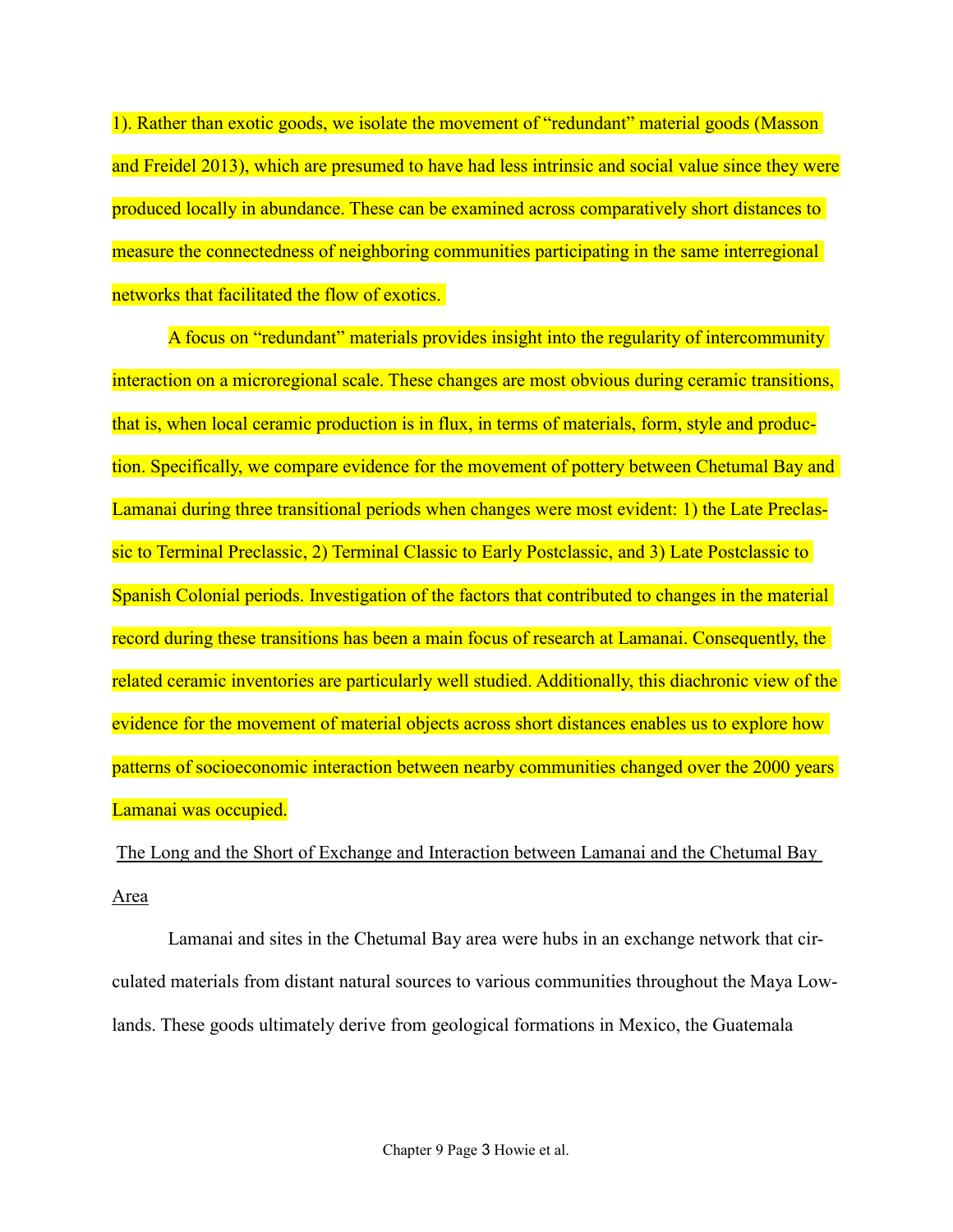1). Rather than exotic goods, we isolate the movement of "redundant" material goods (Masson and Freidel 2013), which are presumed to have had less intrinsic and social value since they were produced locally in abundance. These can be examined across comparatively short distances to measure the connectedness of neighboring communities participating in the same interregional networks that facilitated the flow of exotics.

A focus on "redundant" materials provides insight into the regularity of intercommunity interaction on a microregional scale. These changes are most obvious during ceramic transitions, that is, when local ceramic production is in flux, in terms of materials, form, style and production. Specifically, we compare evidence for the movement of pottery between Chetumal Bay and Lamanai during three transitional periods when changes were most evident: 1) the Late Preclassic to Terminal Preclassic, 2) Terminal Classic to Early Postclassic, and 3) Late Postclassic to Spanish Colonial periods. Investigation of the factors that contributed to changes in the material record during these transitions has been a main focus of research at Lamanai. Consequently, the related ceramic inventories are particularly well studied. Additionally, this diachronic view of the evidence for the movement of material objects across short distances enables us to explore how patterns of socioeconomic interaction between nearby communities changed over the 2000 years Lamanai was occupied.

The Long and the Short of Exchange and Interaction between Lamanai and the Chetumal Bay Area

Lamanai and sites in the Chetumal Bay area were hubs in an exchange network that circulated materials from distant natural sources to various communities throughout the Maya Lowlands. These goods ultimately derive from geological formations in Mexico, the Guatemala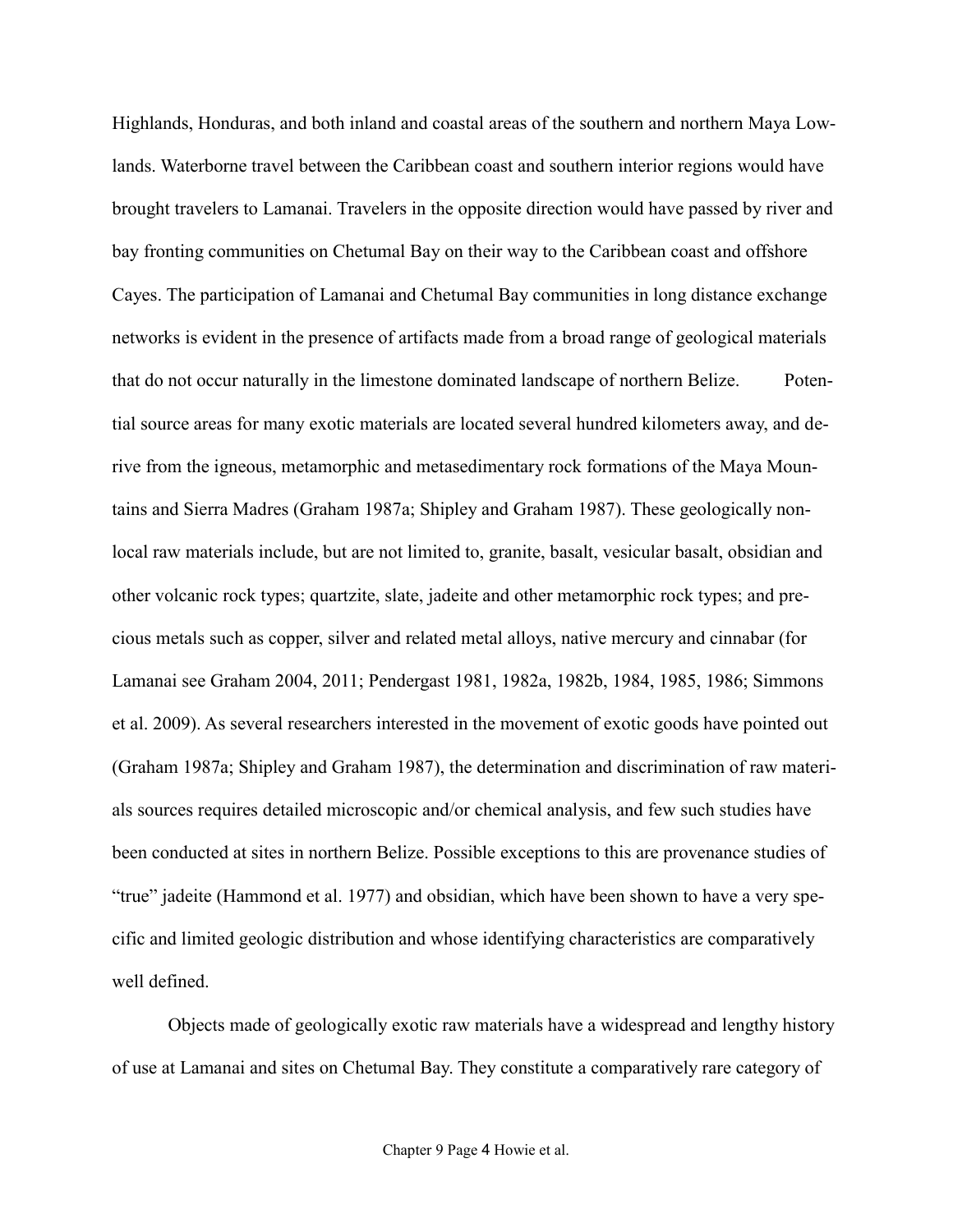Highlands, Honduras, and both inland and coastal areas of the southern and northern Maya Lowlands. Waterborne travel between the Caribbean coast and southern interior regions would have brought travelers to Lamanai. Travelers in the opposite direction would have passed by river and bay fronting communities on Chetumal Bay on their way to the Caribbean coast and offshore Cayes. The participation of Lamanai and Chetumal Bay communities in long distance exchange networks is evident in the presence of artifacts made from a broad range of geological materials that do not occur naturally in the limestone dominated landscape of northern Belize. Potential source areas for many exotic materials are located several hundred kilometers away, and derive from the igneous, metamorphic and metasedimentary rock formations of the Maya Mountains and Sierra Madres (Graham 1987a; Shipley and Graham 1987). These geologically nonlocal raw materials include, but are not limited to, granite, basalt, vesicular basalt, obsidian and other volcanic rock types; quartzite, slate, jadeite and other metamorphic rock types; and precious metals such as copper, silver and related metal alloys, native mercury and cinnabar (for Lamanai see Graham 2004, 2011; Pendergast 1981, 1982a, 1982b, 1984, 1985, 1986; Simmons et al. 2009). As several researchers interested in the movement of exotic goods have pointed out (Graham 1987a; Shipley and Graham 1987), the determination and discrimination of raw materials sources requires detailed microscopic and/or chemical analysis, and few such studies have been conducted at sites in northern Belize. Possible exceptions to this are provenance studies of "true" jadeite (Hammond et al. 1977) and obsidian, which have been shown to have a very specific and limited geologic distribution and whose identifying characteristics are comparatively well defined.

Objects made of geologically exotic raw materials have a widespread and lengthy history of use at Lamanai and sites on Chetumal Bay. They constitute a comparatively rare category of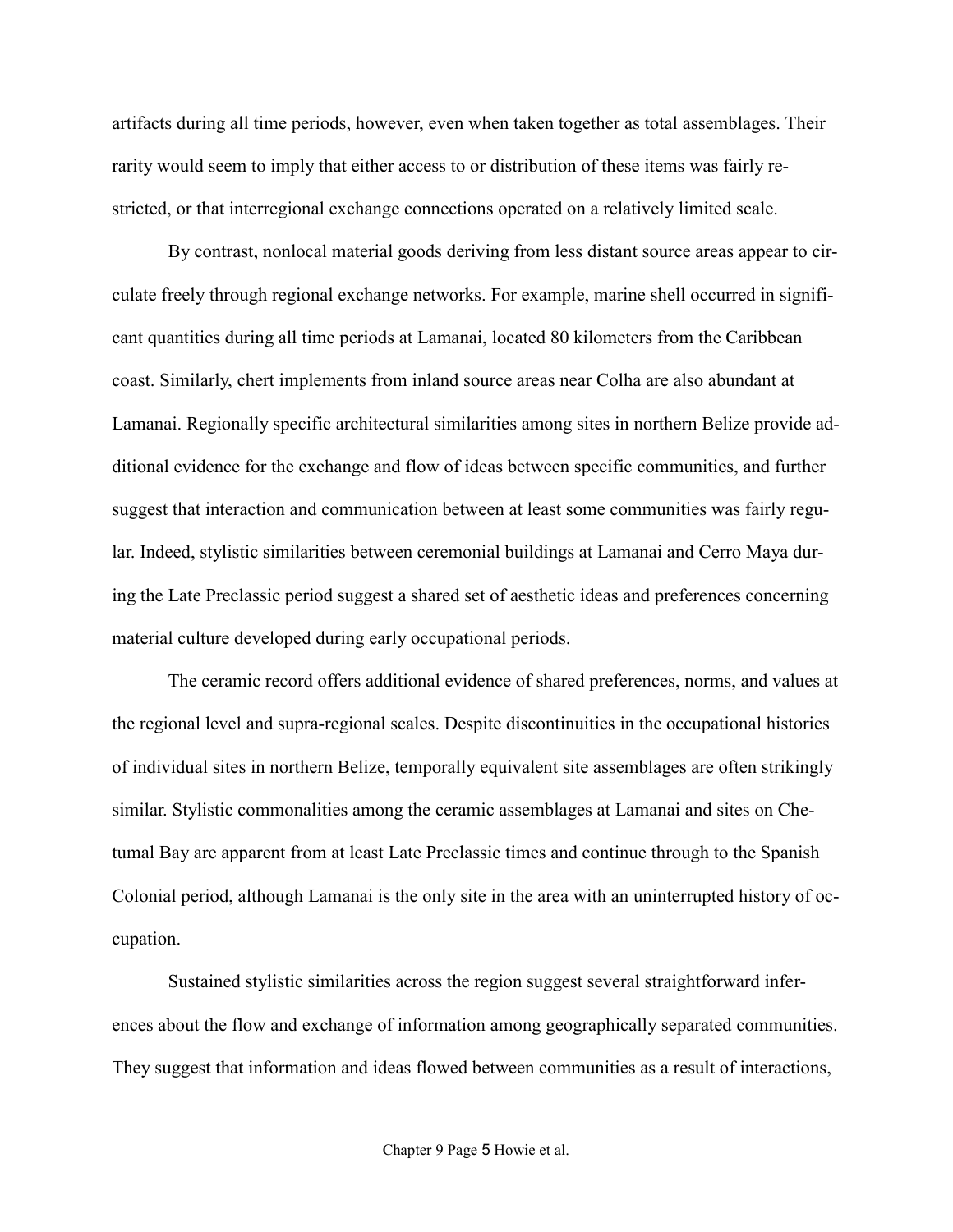artifacts during all time periods, however, even when taken together as total assemblages. Their rarity would seem to imply that either access to or distribution of these items was fairly restricted, or that interregional exchange connections operated on a relatively limited scale.

By contrast, nonlocal material goods deriving from less distant source areas appear to circulate freely through regional exchange networks. For example, marine shell occurred in significant quantities during all time periods at Lamanai, located 80 kilometers from the Caribbean coast. Similarly, chert implements from inland source areas near Colha are also abundant at Lamanai. Regionally specific architectural similarities among sites in northern Belize provide additional evidence for the exchange and flow of ideas between specific communities, and further suggest that interaction and communication between at least some communities was fairly regular. Indeed, stylistic similarities between ceremonial buildings at Lamanai and Cerro Maya during the Late Preclassic period suggest a shared set of aesthetic ideas and preferences concerning material culture developed during early occupational periods.

The ceramic record offers additional evidence of shared preferences, norms, and values at the regional level and supra-regional scales. Despite discontinuities in the occupational histories of individual sites in northern Belize, temporally equivalent site assemblages are often strikingly similar. Stylistic commonalities among the ceramic assemblages at Lamanai and sites on Chetumal Bay are apparent from at least Late Preclassic times and continue through to the Spanish Colonial period, although Lamanai is the only site in the area with an uninterrupted history of occupation.

Sustained stylistic similarities across the region suggest several straightforward inferences about the flow and exchange of information among geographically separated communities. They suggest that information and ideas flowed between communities as a result of interactions,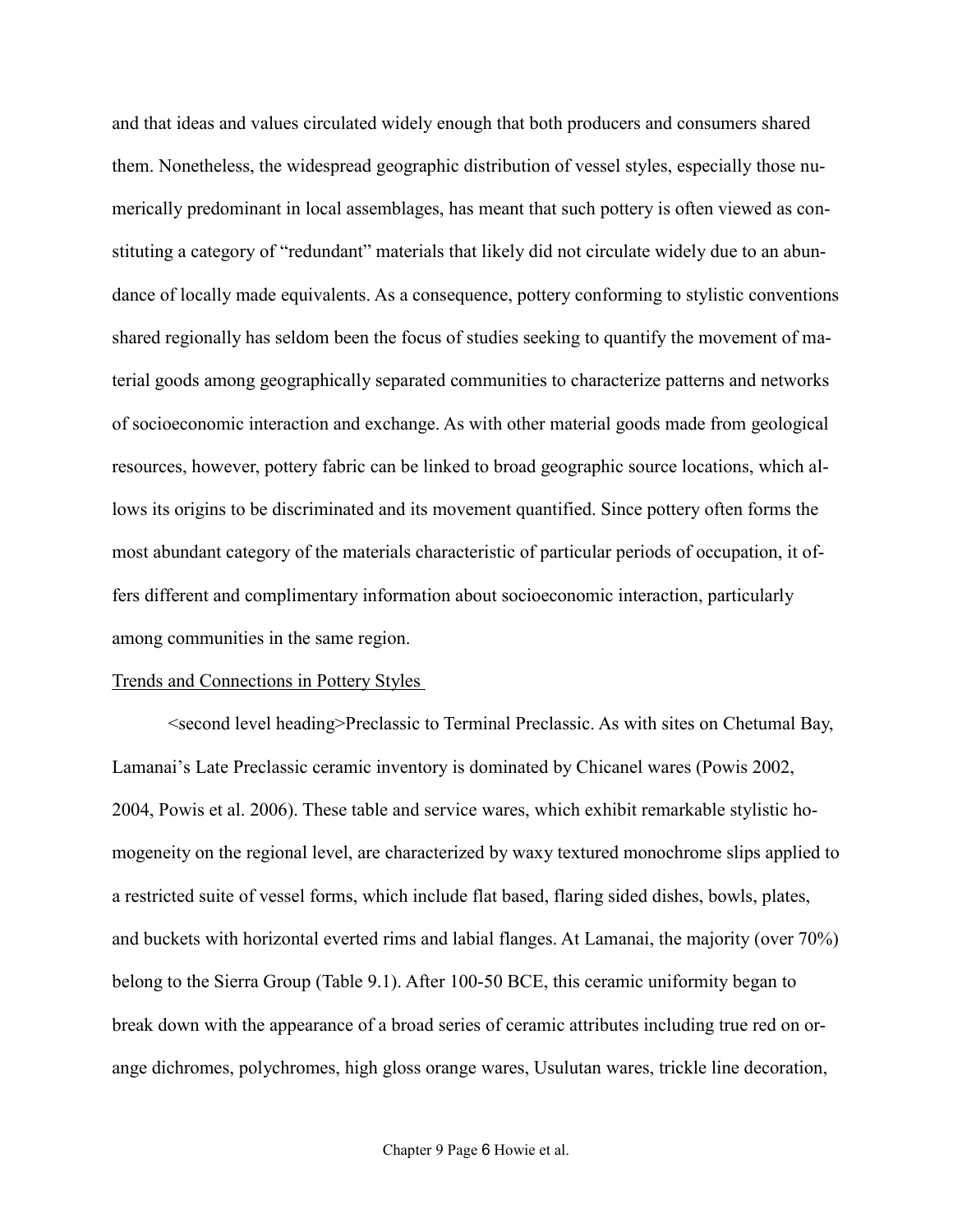and that ideas and values circulated widely enough that both producers and consumers shared them. Nonetheless, the widespread geographic distribution of vessel styles, especially those numerically predominant in local assemblages, has meant that such pottery is often viewed as constituting a category of "redundant" materials that likely did not circulate widely due to an abundance of locally made equivalents. As a consequence, pottery conforming to stylistic conventions shared regionally has seldom been the focus of studies seeking to quantify the movement of material goods among geographically separated communities to characterize patterns and networks of socioeconomic interaction and exchange. As with other material goods made from geological resources, however, pottery fabric can be linked to broad geographic source locations, which allows its origins to be discriminated and its movement quantified. Since pottery often forms the most abundant category of the materials characteristic of particular periods of occupation, it offers different and complimentary information about socioeconomic interaction, particularly among communities in the same region.

#### Trends and Connections in Pottery Styles

<second level heading>Preclassic to Terminal Preclassic. As with sites on Chetumal Bay, Lamanai's Late Preclassic ceramic inventory is dominated by Chicanel wares (Powis 2002, 2004, Powis et al. 2006). These table and service wares, which exhibit remarkable stylistic homogeneity on the regional level, are characterized by waxy textured monochrome slips applied to a restricted suite of vessel forms, which include flat based, flaring sided dishes, bowls, plates, and buckets with horizontal everted rims and labial flanges. At Lamanai, the majority (over 70%) belong to the Sierra Group (Table 9.1). After 100-50 BCE, this ceramic uniformity began to break down with the appearance of a broad series of ceramic attributes including true red on orange dichromes, polychromes, high gloss orange wares, Usulutan wares, trickle line decoration,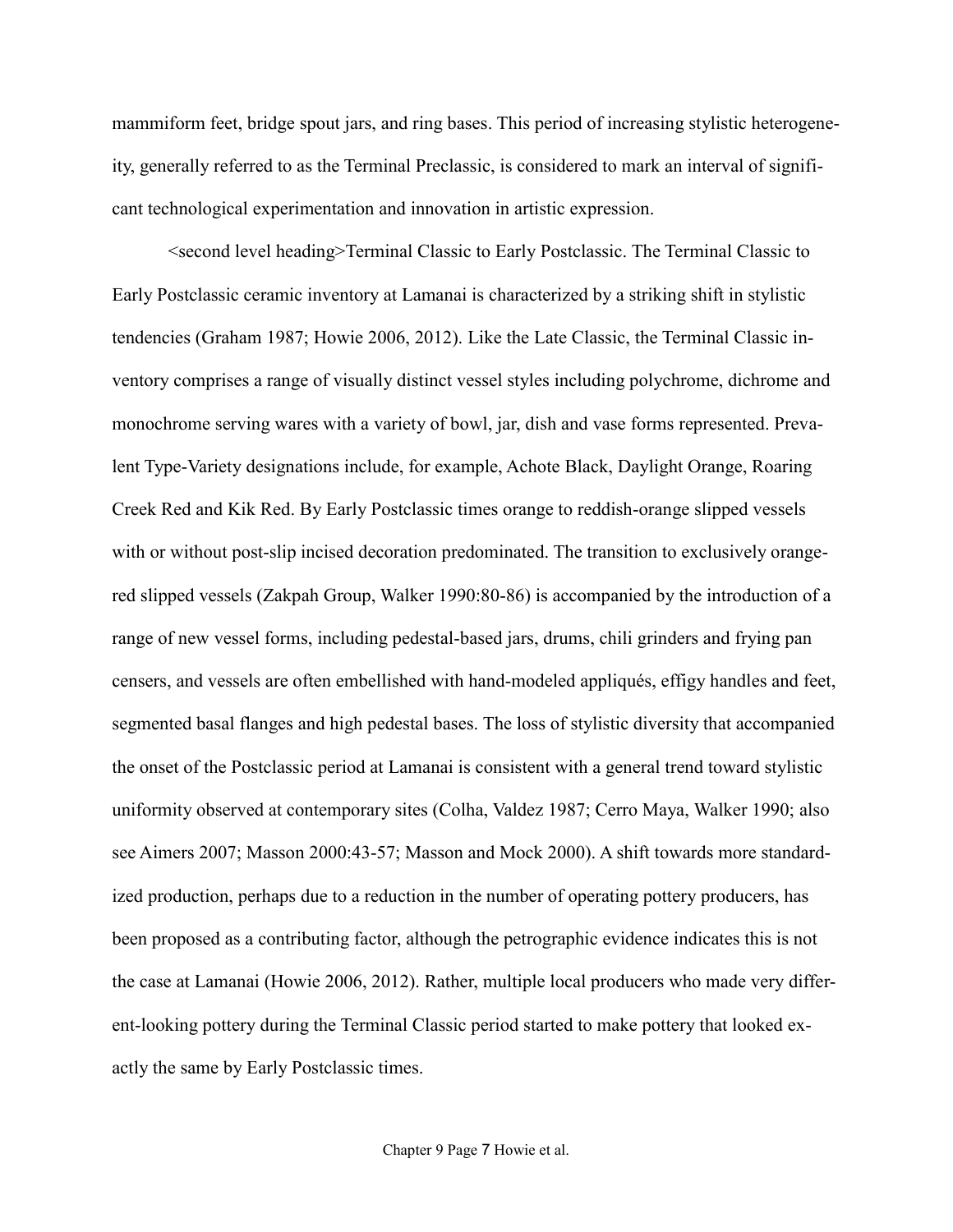mammiform feet, bridge spout jars, and ring bases. This period of increasing stylistic heterogeneity, generally referred to as the Terminal Preclassic, is considered to mark an interval of significant technological experimentation and innovation in artistic expression.

<second level heading>Terminal Classic to Early Postclassic. The Terminal Classic to Early Postclassic ceramic inventory at Lamanai is characterized by a striking shift in stylistic tendencies (Graham 1987; Howie 2006, 2012). Like the Late Classic, the Terminal Classic inventory comprises a range of visually distinct vessel styles including polychrome, dichrome and monochrome serving wares with a variety of bowl, jar, dish and vase forms represented. Prevalent Type-Variety designations include, for example, Achote Black, Daylight Orange, Roaring Creek Red and Kik Red. By Early Postclassic times orange to reddish-orange slipped vessels with or without post-slip incised decoration predominated. The transition to exclusively orangered slipped vessels (Zakpah Group, Walker 1990:80-86) is accompanied by the introduction of a range of new vessel forms, including pedestal-based jars, drums, chili grinders and frying pan censers, and vessels are often embellished with hand-modeled appliqués, effigy handles and feet, segmented basal flanges and high pedestal bases. The loss of stylistic diversity that accompanied the onset of the Postclassic period at Lamanai is consistent with a general trend toward stylistic uniformity observed at contemporary sites (Colha, Valdez 1987; Cerro Maya, Walker 1990; also see Aimers 2007; Masson 2000:43-57; Masson and Mock 2000). A shift towards more standardized production, perhaps due to a reduction in the number of operating pottery producers, has been proposed as a contributing factor, although the petrographic evidence indicates this is not the case at Lamanai (Howie 2006, 2012). Rather, multiple local producers who made very different-looking pottery during the Terminal Classic period started to make pottery that looked exactly the same by Early Postclassic times.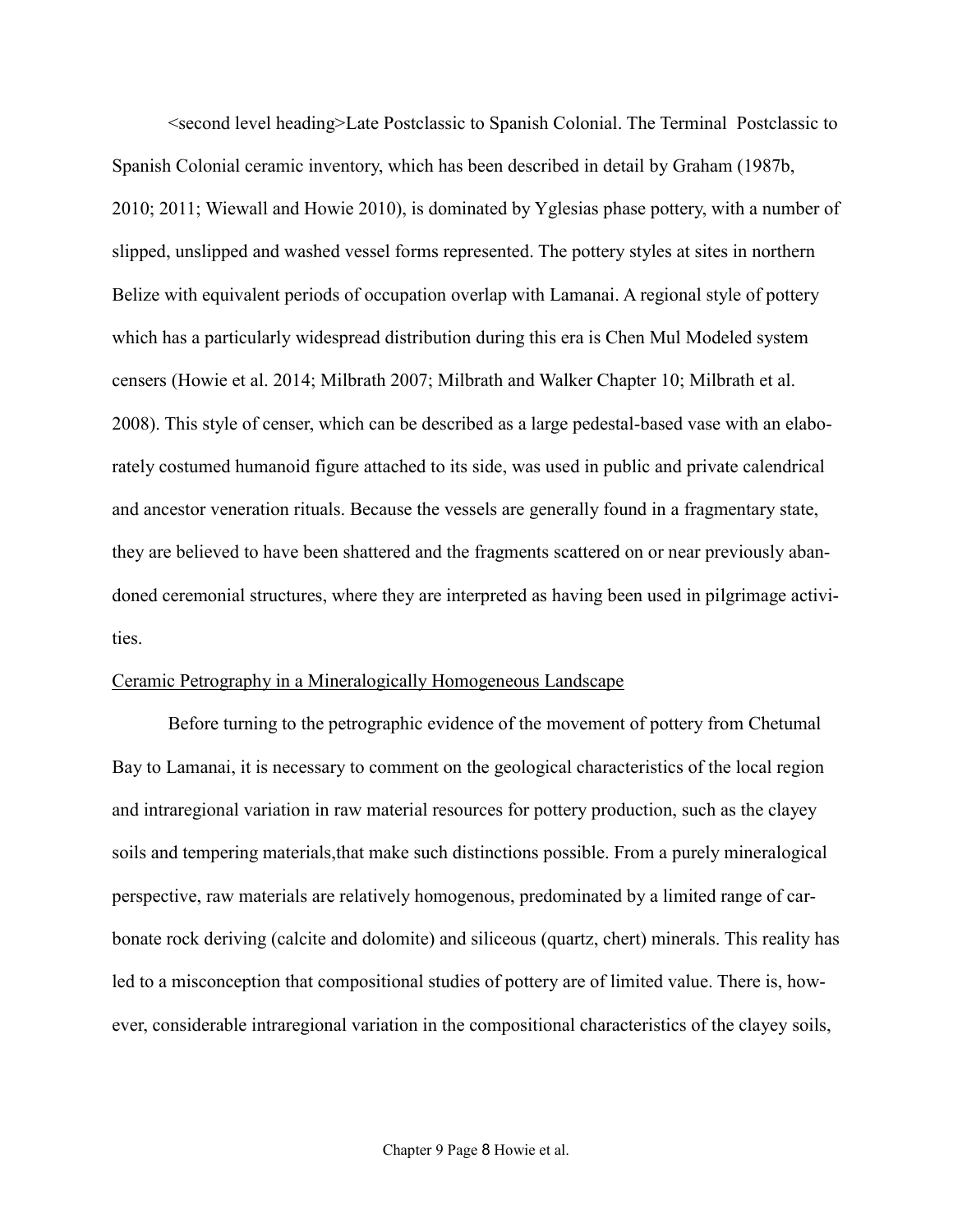<second level heading>Late Postclassic to Spanish Colonial. The Terminal Postclassic to Spanish Colonial ceramic inventory, which has been described in detail by Graham (1987b, 2010; 2011; Wiewall and Howie 2010), is dominated by Yglesias phase pottery, with a number of slipped, unslipped and washed vessel forms represented. The pottery styles at sites in northern Belize with equivalent periods of occupation overlap with Lamanai. A regional style of pottery which has a particularly widespread distribution during this era is Chen Mul Modeled system censers (Howie et al. 2014; Milbrath 2007; Milbrath and Walker Chapter 10; Milbrath et al. 2008). This style of censer, which can be described as a large pedestal-based vase with an elaborately costumed humanoid figure attached to its side, was used in public and private calendrical and ancestor veneration rituals. Because the vessels are generally found in a fragmentary state, they are believed to have been shattered and the fragments scattered on or near previously abandoned ceremonial structures, where they are interpreted as having been used in pilgrimage activities.

#### Ceramic Petrography in a Mineralogically Homogeneous Landscape

Before turning to the petrographic evidence of the movement of pottery from Chetumal Bay to Lamanai, it is necessary to comment on the geological characteristics of the local region and intraregional variation in raw material resources for pottery production, such as the clayey soils and tempering materials,that make such distinctions possible. From a purely mineralogical perspective, raw materials are relatively homogenous, predominated by a limited range of carbonate rock deriving (calcite and dolomite) and siliceous (quartz, chert) minerals. This reality has led to a misconception that compositional studies of pottery are of limited value. There is, however, considerable intraregional variation in the compositional characteristics of the clayey soils,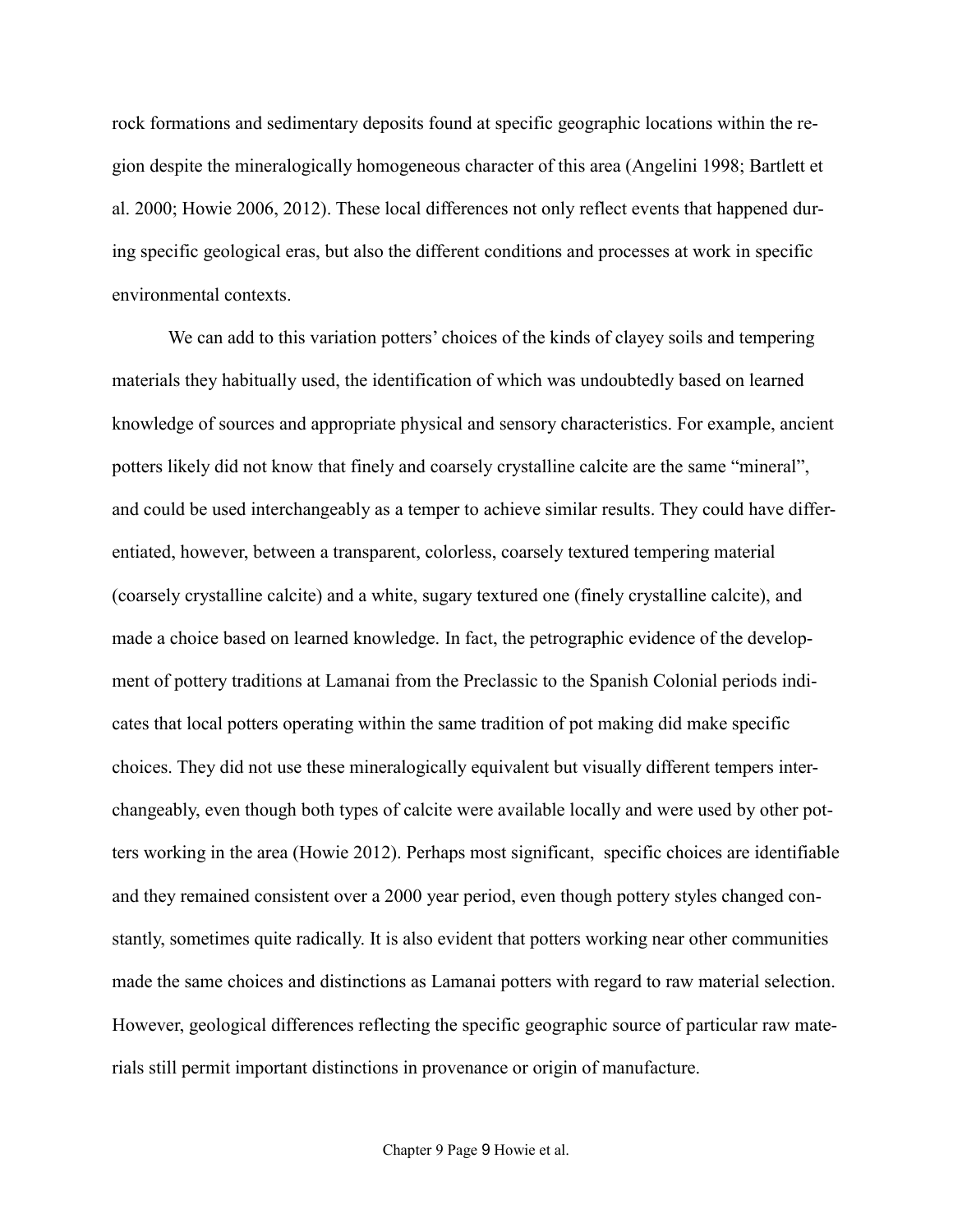rock formations and sedimentary deposits found at specific geographic locations within the region despite the mineralogically homogeneous character of this area (Angelini 1998; Bartlett et al. 2000; Howie 2006, 2012). These local differences not only reflect events that happened during specific geological eras, but also the different conditions and processes at work in specific environmental contexts.

We can add to this variation potters' choices of the kinds of clayey soils and tempering materials they habitually used, the identification of which was undoubtedly based on learned knowledge of sources and appropriate physical and sensory characteristics. For example, ancient potters likely did not know that finely and coarsely crystalline calcite are the same "mineral", and could be used interchangeably as a temper to achieve similar results. They could have differentiated, however, between a transparent, colorless, coarsely textured tempering material (coarsely crystalline calcite) and a white, sugary textured one (finely crystalline calcite), and made a choice based on learned knowledge. In fact, the petrographic evidence of the development of pottery traditions at Lamanai from the Preclassic to the Spanish Colonial periods indicates that local potters operating within the same tradition of pot making did make specific choices. They did not use these mineralogically equivalent but visually different tempers interchangeably, even though both types of calcite were available locally and were used by other potters working in the area (Howie 2012). Perhaps most significant, specific choices are identifiable and they remained consistent over a 2000 year period, even though pottery styles changed constantly, sometimes quite radically. It is also evident that potters working near other communities made the same choices and distinctions as Lamanai potters with regard to raw material selection. However, geological differences reflecting the specific geographic source of particular raw materials still permit important distinctions in provenance or origin of manufacture.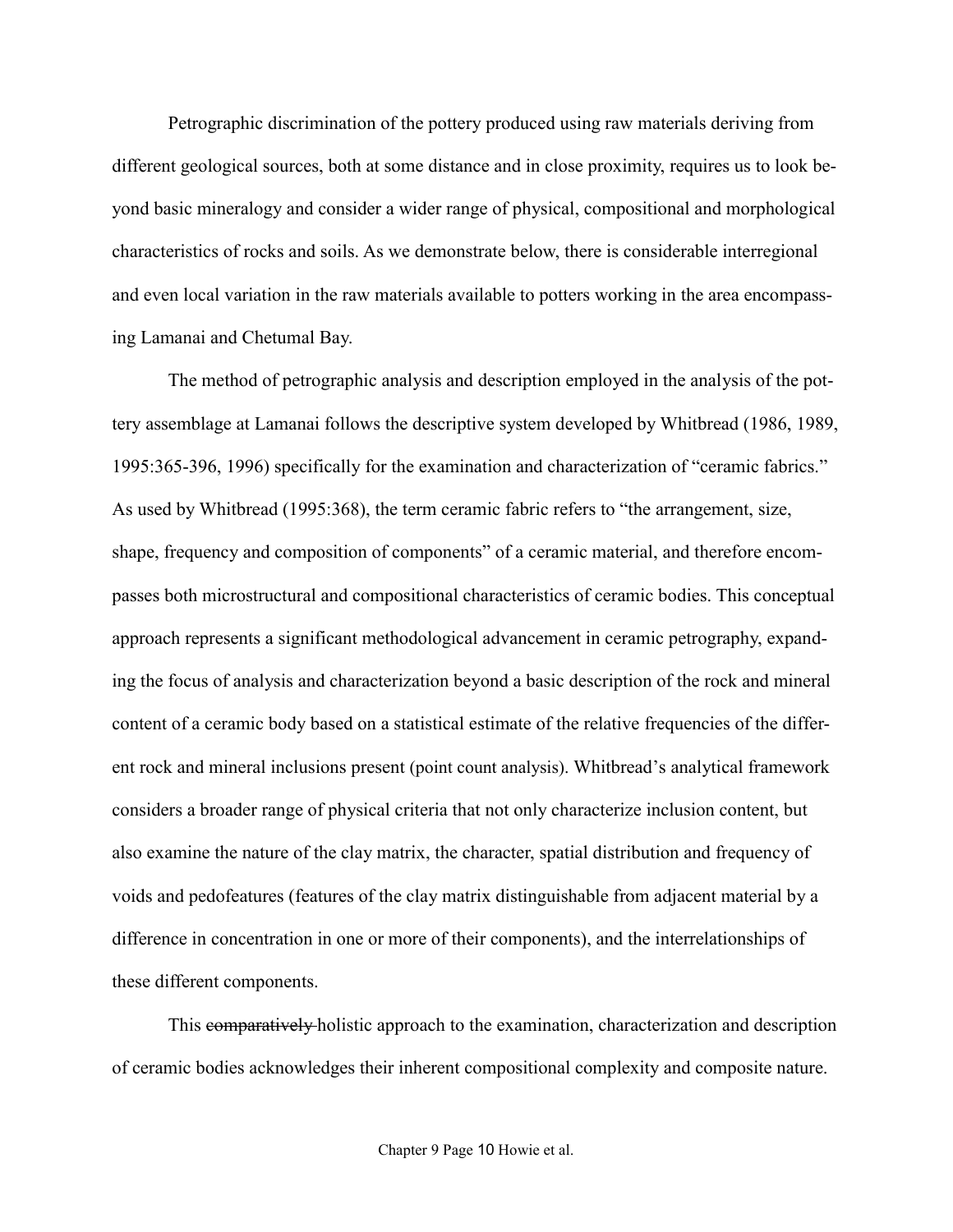Petrographic discrimination of the pottery produced using raw materials deriving from different geological sources, both at some distance and in close proximity, requires us to look beyond basic mineralogy and consider a wider range of physical, compositional and morphological characteristics of rocks and soils. As we demonstrate below, there is considerable interregional and even local variation in the raw materials available to potters working in the area encompassing Lamanai and Chetumal Bay.

The method of petrographic analysis and description employed in the analysis of the pottery assemblage at Lamanai follows the descriptive system developed by Whitbread (1986, 1989, 1995:365-396, 1996) specifically for the examination and characterization of "ceramic fabrics." As used by Whitbread (1995:368), the term ceramic fabric refers to "the arrangement, size, shape, frequency and composition of components" of a ceramic material, and therefore encompasses both microstructural and compositional characteristics of ceramic bodies. This conceptual approach represents a significant methodological advancement in ceramic petrography, expanding the focus of analysis and characterization beyond a basic description of the rock and mineral content of a ceramic body based on a statistical estimate of the relative frequencies of the different rock and mineral inclusions present (point count analysis). Whitbread's analytical framework considers a broader range of physical criteria that not only characterize inclusion content, but also examine the nature of the clay matrix, the character, spatial distribution and frequency of voids and pedofeatures (features of the clay matrix distinguishable from adjacent material by a difference in concentration in one or more of their components), and the interrelationships of these different components.

This comparatively holistic approach to the examination, characterization and description of ceramic bodies acknowledges their inherent compositional complexity and composite nature.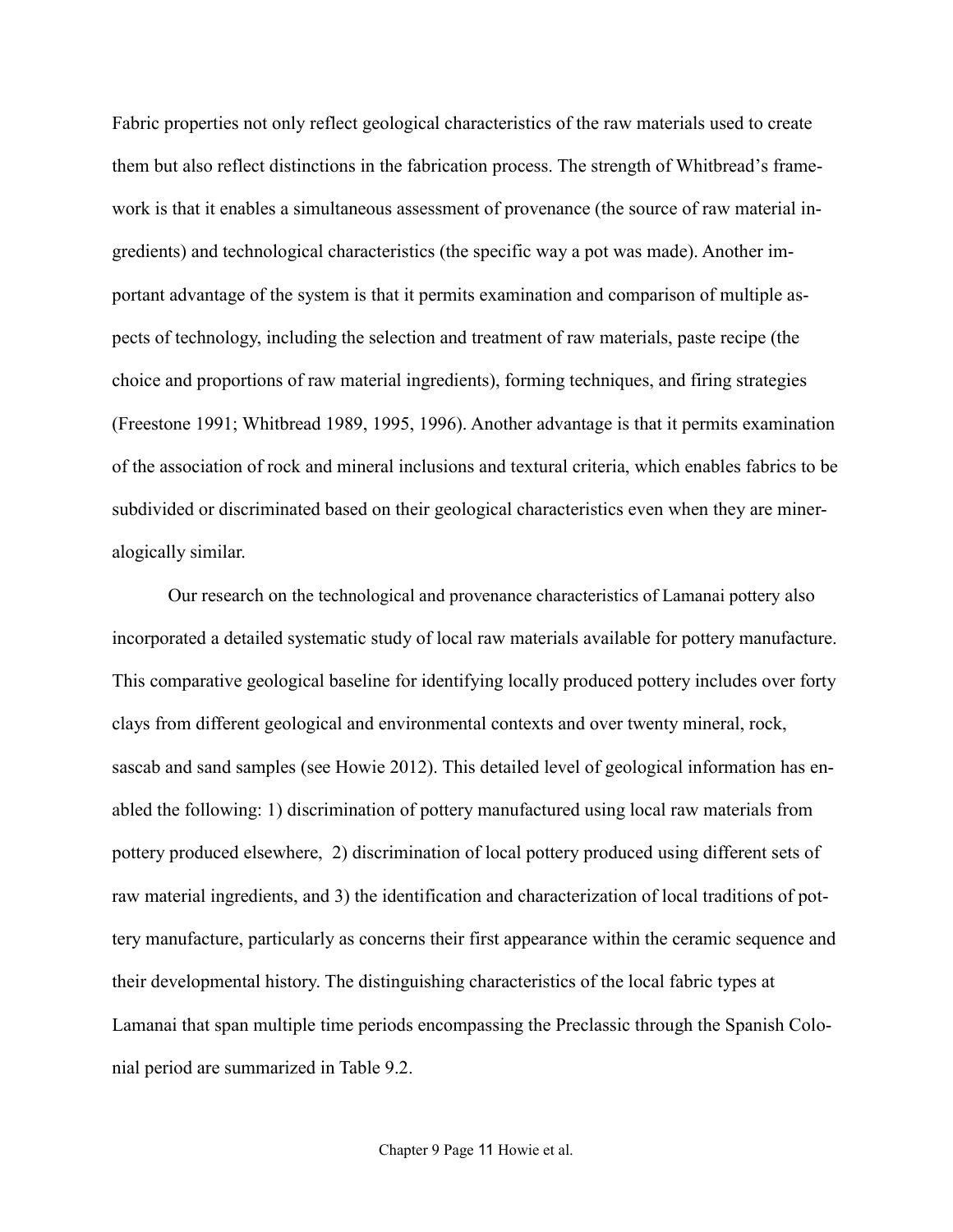Fabric properties not only reflect geological characteristics of the raw materials used to create them but also reflect distinctions in the fabrication process. The strength of Whitbread's framework is that it enables a simultaneous assessment of provenance (the source of raw material ingredients) and technological characteristics (the specific way a pot was made). Another important advantage of the system is that it permits examination and comparison of multiple aspects of technology, including the selection and treatment of raw materials, paste recipe (the choice and proportions of raw material ingredients), forming techniques, and firing strategies (Freestone 1991; Whitbread 1989, 1995, 1996). Another advantage is that it permits examination of the association of rock and mineral inclusions and textural criteria, which enables fabrics to be subdivided or discriminated based on their geological characteristics even when they are mineralogically similar.

Our research on the technological and provenance characteristics of Lamanai pottery also incorporated a detailed systematic study of local raw materials available for pottery manufacture. This comparative geological baseline for identifying locally produced pottery includes over forty clays from different geological and environmental contexts and over twenty mineral, rock, sascab and sand samples (see Howie 2012). This detailed level of geological information has enabled the following: 1) discrimination of pottery manufactured using local raw materials from pottery produced elsewhere, 2) discrimination of local pottery produced using different sets of raw material ingredients, and 3) the identification and characterization of local traditions of pottery manufacture, particularly as concerns their first appearance within the ceramic sequence and their developmental history. The distinguishing characteristics of the local fabric types at Lamanai that span multiple time periods encompassing the Preclassic through the Spanish Colonial period are summarized in Table 9.2.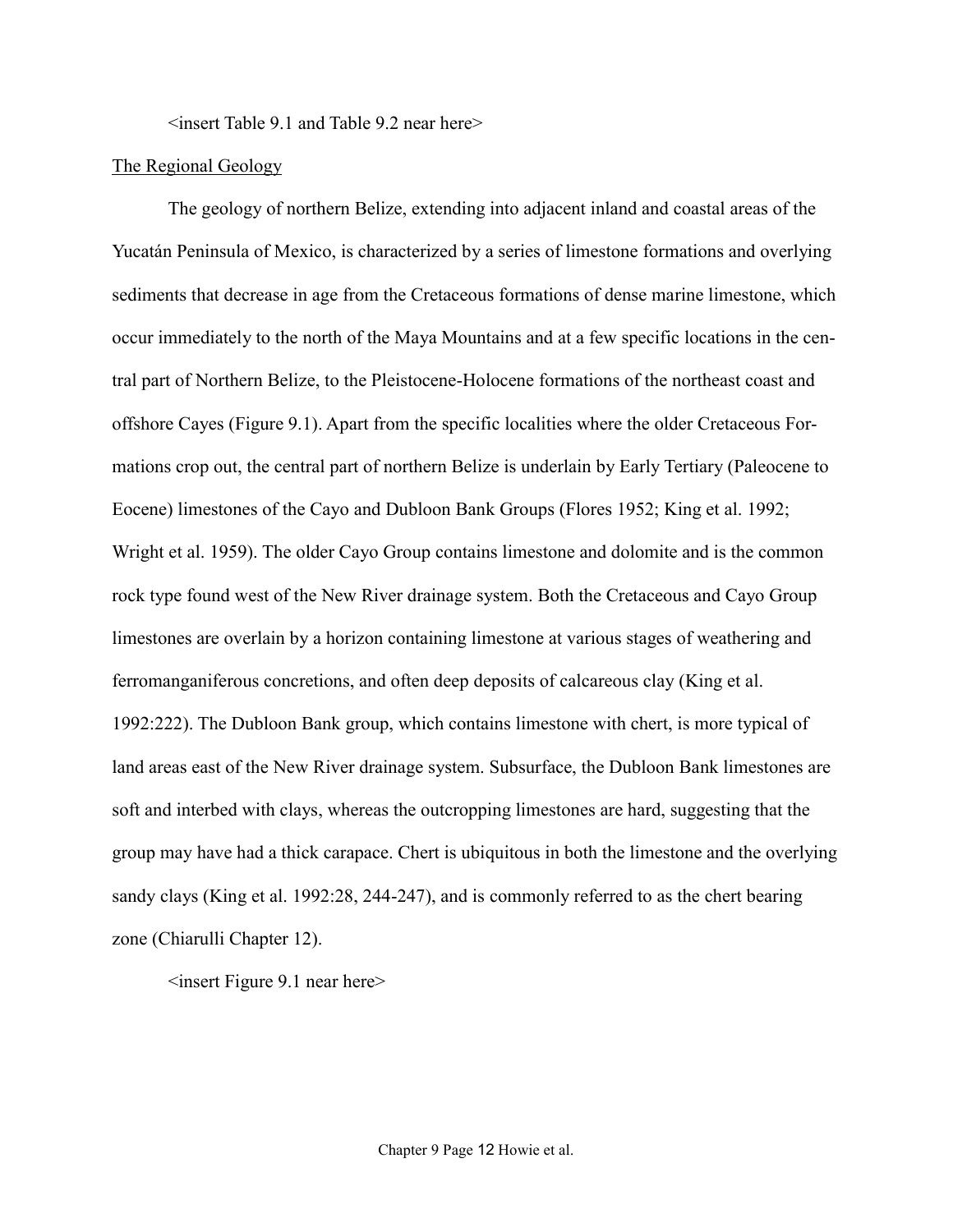<insert Table 9.1 and Table 9.2 near here>

## The Regional Geology

The geology of northern Belize, extending into adjacent inland and coastal areas of the Yucatán Peninsula of Mexico, is characterized by a series of limestone formations and overlying sediments that decrease in age from the Cretaceous formations of dense marine limestone, which occur immediately to the north of the Maya Mountains and at a few specific locations in the central part of Northern Belize, to the Pleistocene-Holocene formations of the northeast coast and offshore Cayes (Figure 9.1). Apart from the specific localities where the older Cretaceous Formations crop out, the central part of northern Belize is underlain by Early Tertiary (Paleocene to Eocene) limestones of the Cayo and Dubloon Bank Groups (Flores 1952; King et al. 1992; Wright et al. 1959). The older Cayo Group contains limestone and dolomite and is the common rock type found west of the New River drainage system. Both the Cretaceous and Cayo Group limestones are overlain by a horizon containing limestone at various stages of weathering and ferromanganiferous concretions, and often deep deposits of calcareous clay (King et al. 1992:222). The Dubloon Bank group, which contains limestone with chert, is more typical of land areas east of the New River drainage system. Subsurface, the Dubloon Bank limestones are soft and interbed with clays, whereas the outcropping limestones are hard, suggesting that the group may have had a thick carapace. Chert is ubiquitous in both the limestone and the overlying sandy clays (King et al. 1992:28, 244-247), and is commonly referred to as the chert bearing zone (Chiarulli Chapter 12).

 $\leq$ insert Figure 9.1 near here $>$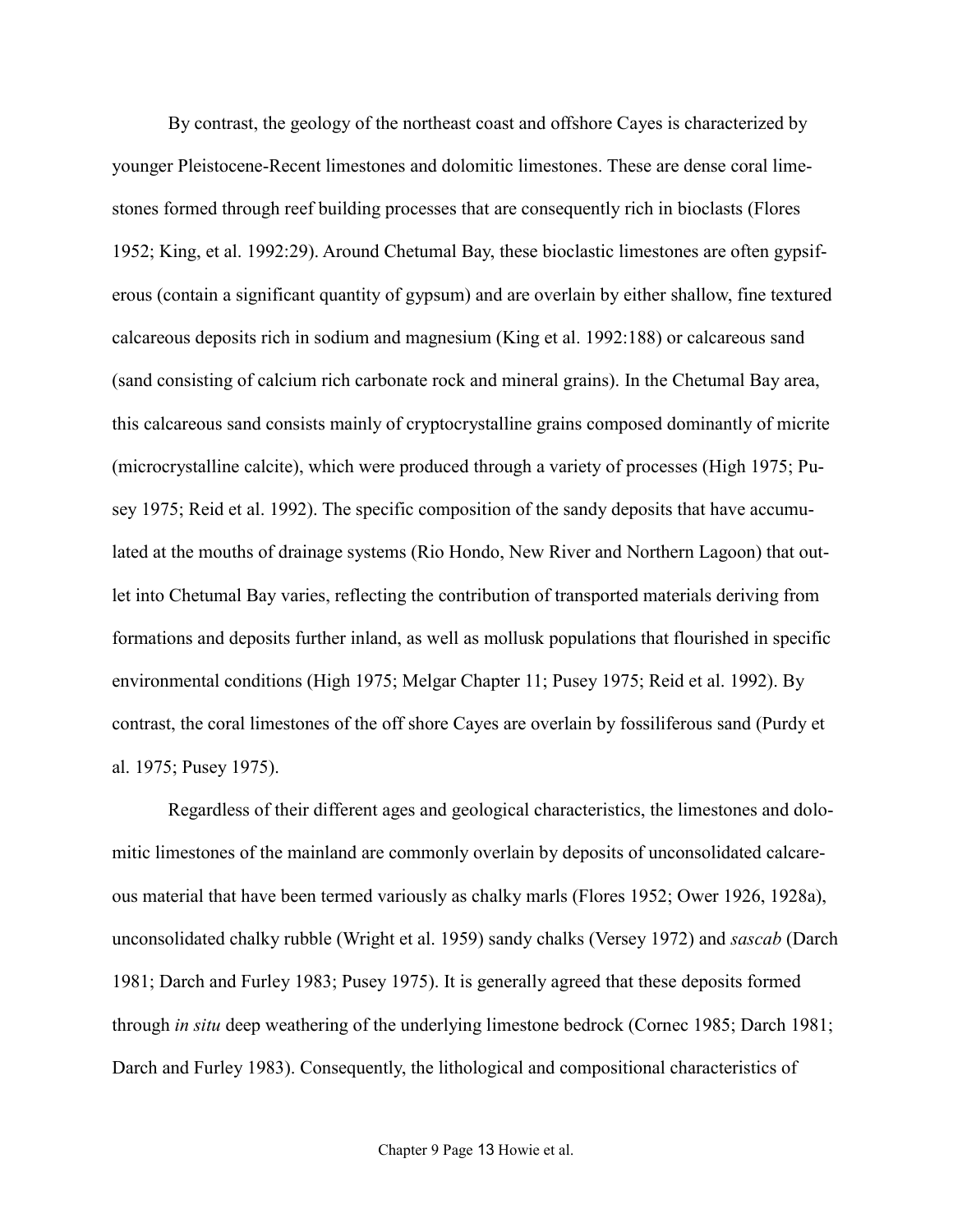By contrast, the geology of the northeast coast and offshore Cayes is characterized by younger Pleistocene-Recent limestones and dolomitic limestones. These are dense coral limestones formed through reef building processes that are consequently rich in bioclasts (Flores 1952; King, et al. 1992:29). Around Chetumal Bay, these bioclastic limestones are often gypsiferous (contain a significant quantity of gypsum) and are overlain by either shallow, fine textured calcareous deposits rich in sodium and magnesium (King et al. 1992:188) or calcareous sand (sand consisting of calcium rich carbonate rock and mineral grains). In the Chetumal Bay area, this calcareous sand consists mainly of cryptocrystalline grains composed dominantly of micrite (microcrystalline calcite), which were produced through a variety of processes (High 1975; Pusey 1975; Reid et al. 1992). The specific composition of the sandy deposits that have accumulated at the mouths of drainage systems (Rio Hondo, New River and Northern Lagoon) that outlet into Chetumal Bay varies, reflecting the contribution of transported materials deriving from formations and deposits further inland, as well as mollusk populations that flourished in specific environmental conditions (High 1975; Melgar Chapter 11; Pusey 1975; Reid et al. 1992). By contrast, the coral limestones of the off shore Cayes are overlain by fossiliferous sand (Purdy et al. 1975; Pusey 1975).

Regardless of their different ages and geological characteristics, the limestones and dolomitic limestones of the mainland are commonly overlain by deposits of unconsolidated calcareous material that have been termed variously as chalky marls (Flores 1952; Ower 1926, 1928a), unconsolidated chalky rubble (Wright et al. 1959) sandy chalks (Versey 1972) and *sascab* (Darch 1981; Darch and Furley 1983; Pusey 1975). It is generally agreed that these deposits formed through *in situ* deep weathering of the underlying limestone bedrock (Cornec 1985; Darch 1981; Darch and Furley 1983). Consequently, the lithological and compositional characteristics of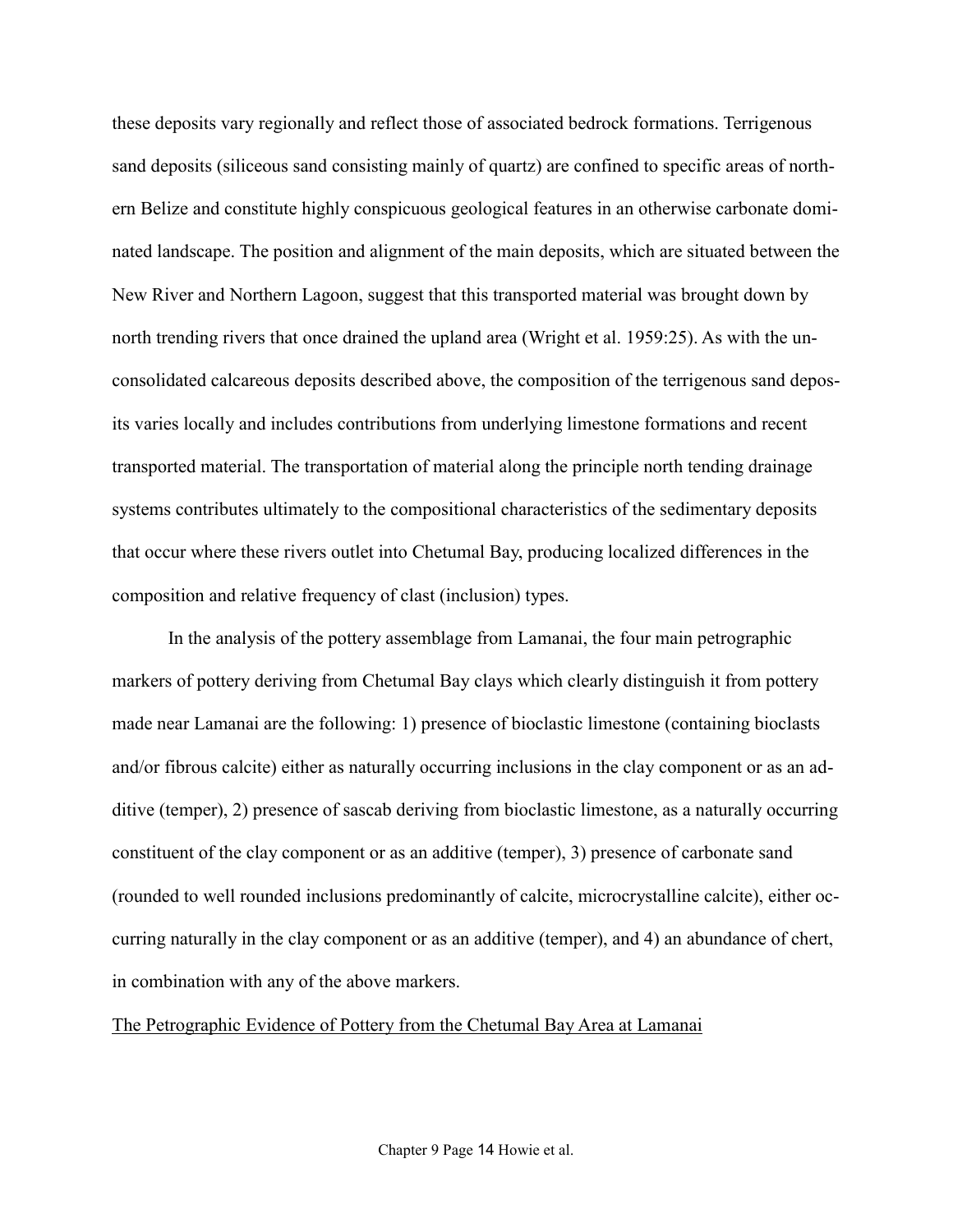these deposits vary regionally and reflect those of associated bedrock formations. Terrigenous sand deposits (siliceous sand consisting mainly of quartz) are confined to specific areas of northern Belize and constitute highly conspicuous geological features in an otherwise carbonate dominated landscape. The position and alignment of the main deposits, which are situated between the New River and Northern Lagoon, suggest that this transported material was brought down by north trending rivers that once drained the upland area (Wright et al. 1959:25). As with the unconsolidated calcareous deposits described above, the composition of the terrigenous sand deposits varies locally and includes contributions from underlying limestone formations and recent transported material. The transportation of material along the principle north tending drainage systems contributes ultimately to the compositional characteristics of the sedimentary deposits that occur where these rivers outlet into Chetumal Bay, producing localized differences in the composition and relative frequency of clast (inclusion) types.

In the analysis of the pottery assemblage from Lamanai, the four main petrographic markers of pottery deriving from Chetumal Bay clays which clearly distinguish it from pottery made near Lamanai are the following: 1) presence of bioclastic limestone (containing bioclasts and/or fibrous calcite) either as naturally occurring inclusions in the clay component or as an additive (temper), 2) presence of sascab deriving from bioclastic limestone, as a naturally occurring constituent of the clay component or as an additive (temper), 3) presence of carbonate sand (rounded to well rounded inclusions predominantly of calcite, microcrystalline calcite), either occurring naturally in the clay component or as an additive (temper), and 4) an abundance of chert, in combination with any of the above markers.

### The Petrographic Evidence of Pottery from the Chetumal Bay Area at Lamanai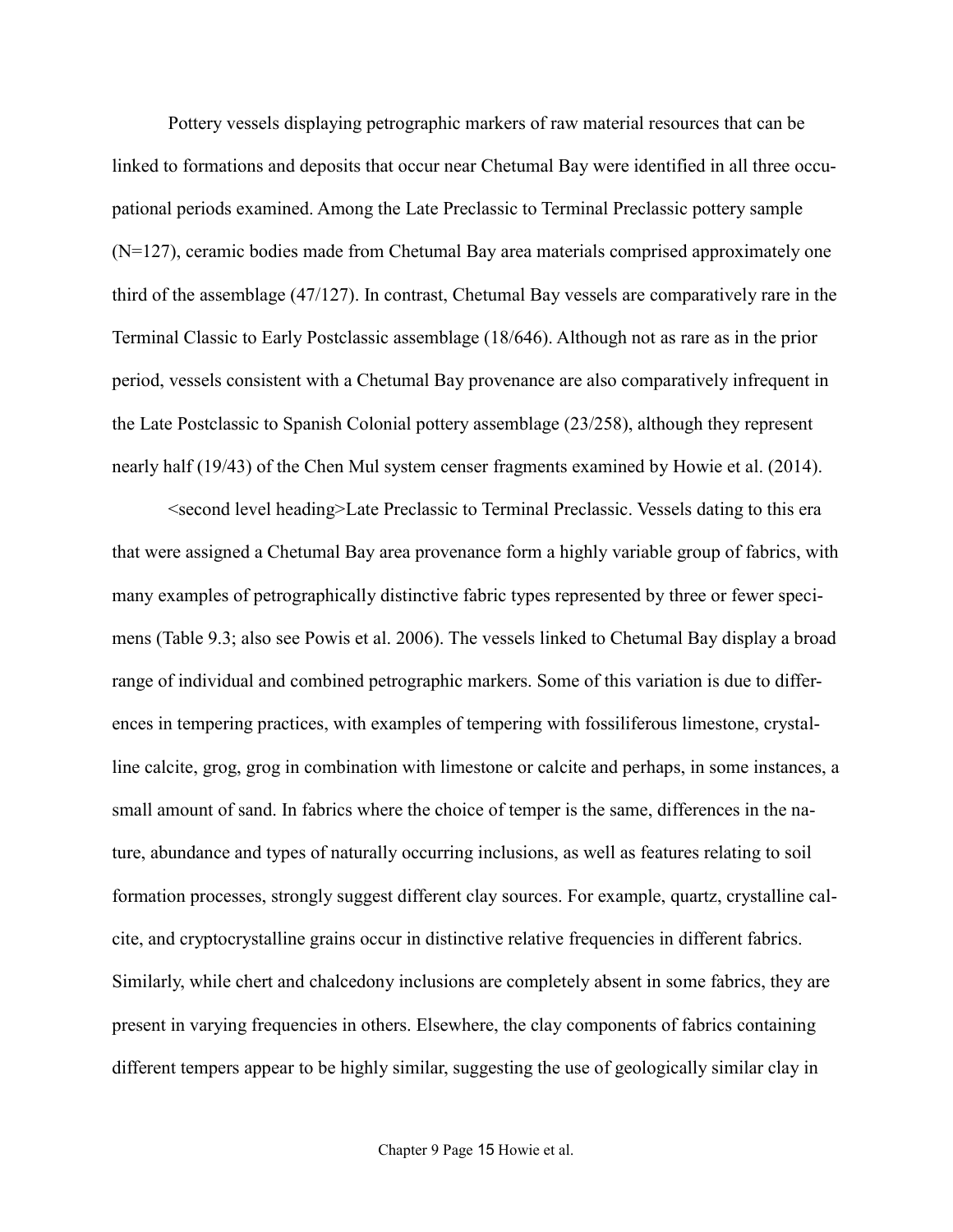Pottery vessels displaying petrographic markers of raw material resources that can be linked to formations and deposits that occur near Chetumal Bay were identified in all three occupational periods examined. Among the Late Preclassic to Terminal Preclassic pottery sample (N=127), ceramic bodies made from Chetumal Bay area materials comprised approximately one third of the assemblage (47/127). In contrast, Chetumal Bay vessels are comparatively rare in the Terminal Classic to Early Postclassic assemblage (18/646). Although not as rare as in the prior period, vessels consistent with a Chetumal Bay provenance are also comparatively infrequent in the Late Postclassic to Spanish Colonial pottery assemblage (23/258), although they represent nearly half (19/43) of the Chen Mul system censer fragments examined by Howie et al. (2014).

<second level heading>Late Preclassic to Terminal Preclassic. Vessels dating to this era that were assigned a Chetumal Bay area provenance form a highly variable group of fabrics, with many examples of petrographically distinctive fabric types represented by three or fewer specimens (Table 9.3; also see Powis et al. 2006). The vessels linked to Chetumal Bay display a broad range of individual and combined petrographic markers. Some of this variation is due to differences in tempering practices, with examples of tempering with fossiliferous limestone, crystalline calcite, grog, grog in combination with limestone or calcite and perhaps, in some instances, a small amount of sand. In fabrics where the choice of temper is the same, differences in the nature, abundance and types of naturally occurring inclusions, as well as features relating to soil formation processes, strongly suggest different clay sources. For example, quartz, crystalline calcite, and cryptocrystalline grains occur in distinctive relative frequencies in different fabrics. Similarly, while chert and chalcedony inclusions are completely absent in some fabrics, they are present in varying frequencies in others. Elsewhere, the clay components of fabrics containing different tempers appear to be highly similar, suggesting the use of geologically similar clay in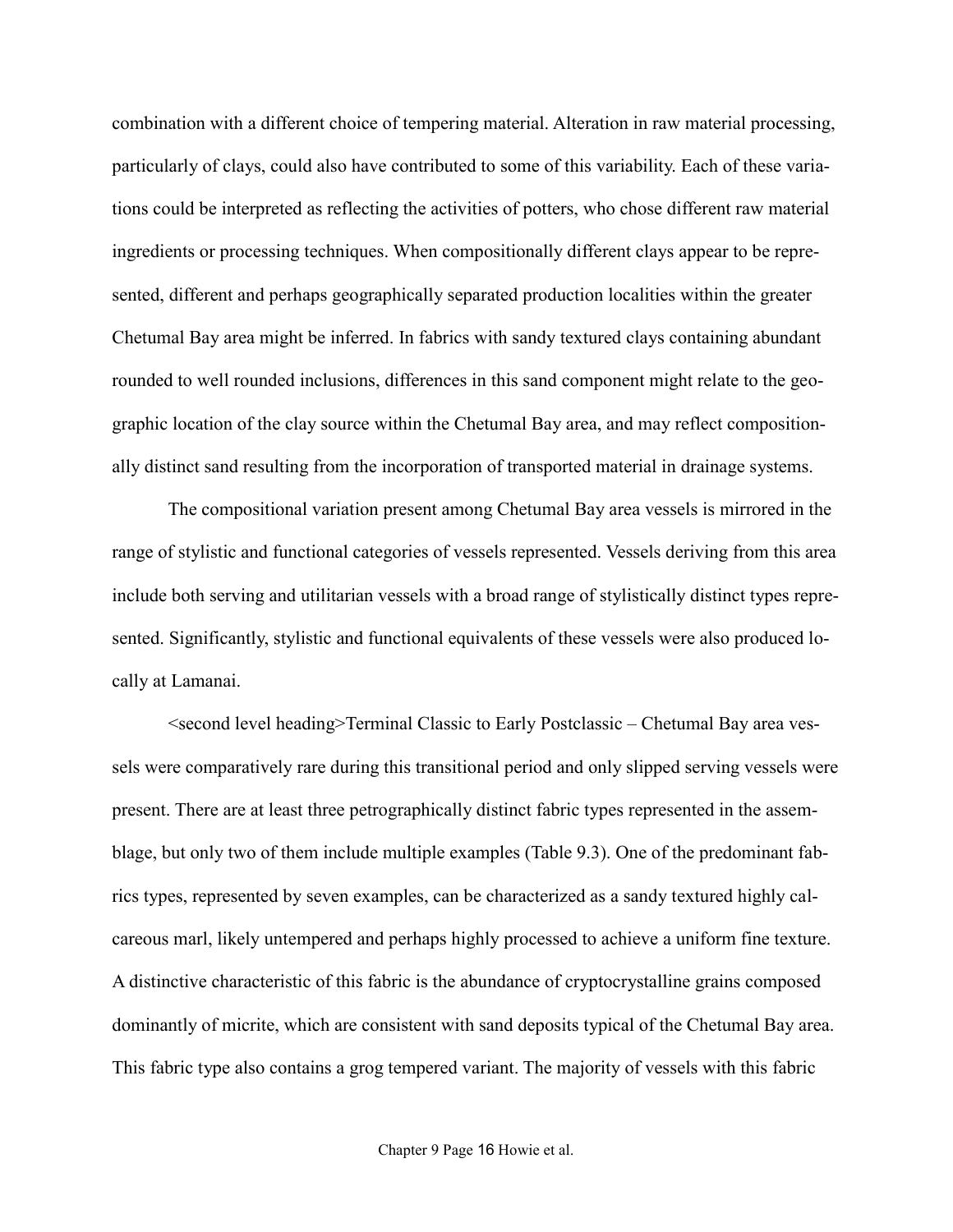combination with a different choice of tempering material. Alteration in raw material processing, particularly of clays, could also have contributed to some of this variability. Each of these variations could be interpreted as reflecting the activities of potters, who chose different raw material ingredients or processing techniques. When compositionally different clays appear to be represented, different and perhaps geographically separated production localities within the greater Chetumal Bay area might be inferred. In fabrics with sandy textured clays containing abundant rounded to well rounded inclusions, differences in this sand component might relate to the geographic location of the clay source within the Chetumal Bay area, and may reflect compositionally distinct sand resulting from the incorporation of transported material in drainage systems.

The compositional variation present among Chetumal Bay area vessels is mirrored in the range of stylistic and functional categories of vessels represented. Vessels deriving from this area include both serving and utilitarian vessels with a broad range of stylistically distinct types represented. Significantly, stylistic and functional equivalents of these vessels were also produced locally at Lamanai.

<second level heading>Terminal Classic to Early Postclassic – Chetumal Bay area vessels were comparatively rare during this transitional period and only slipped serving vessels were present. There are at least three petrographically distinct fabric types represented in the assemblage, but only two of them include multiple examples (Table 9.3). One of the predominant fabrics types, represented by seven examples, can be characterized as a sandy textured highly calcareous marl, likely untempered and perhaps highly processed to achieve a uniform fine texture. A distinctive characteristic of this fabric is the abundance of cryptocrystalline grains composed dominantly of micrite, which are consistent with sand deposits typical of the Chetumal Bay area. This fabric type also contains a grog tempered variant. The majority of vessels with this fabric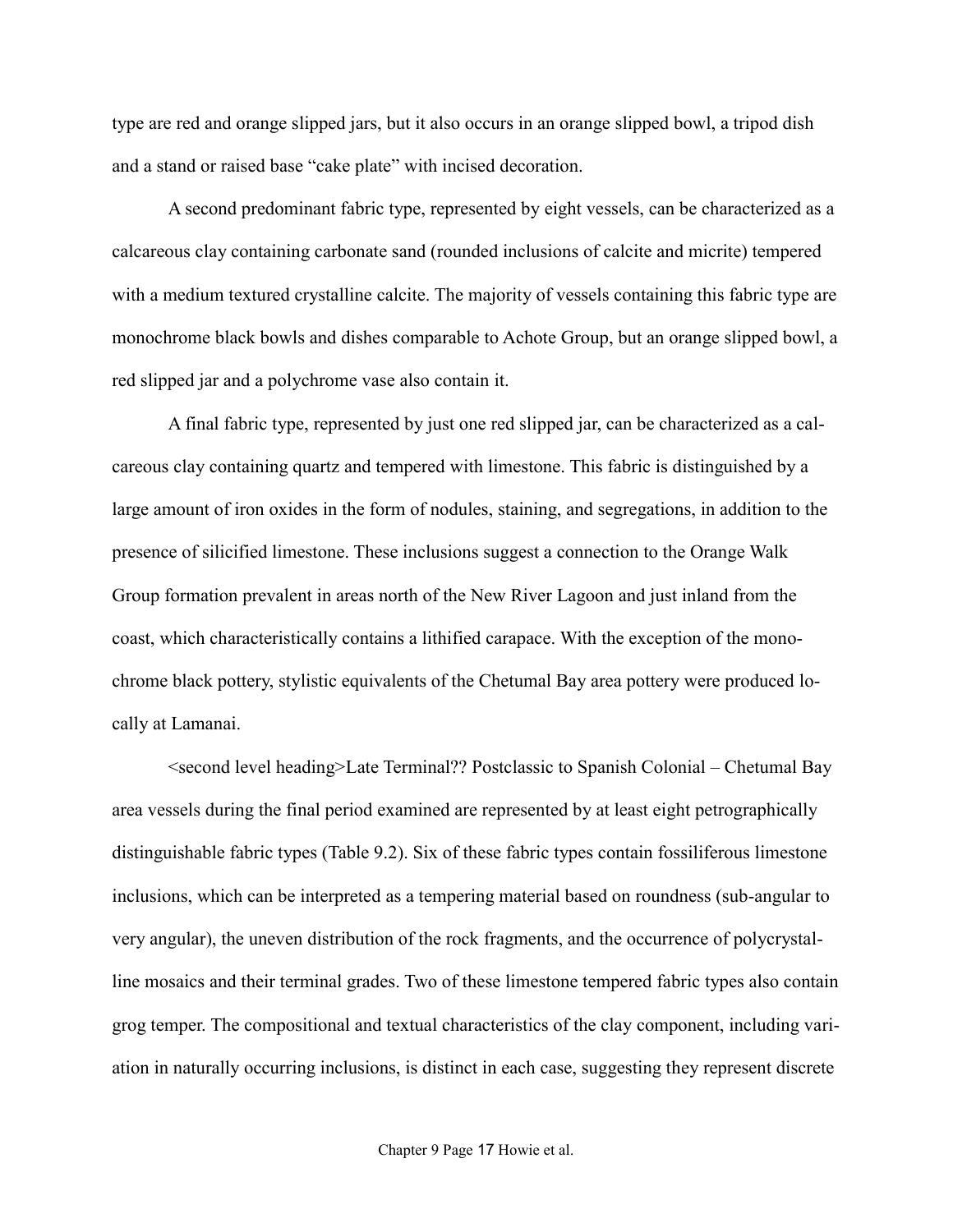type are red and orange slipped jars, but it also occurs in an orange slipped bowl, a tripod dish and a stand or raised base "cake plate" with incised decoration.

A second predominant fabric type, represented by eight vessels, can be characterized as a calcareous clay containing carbonate sand (rounded inclusions of calcite and micrite) tempered with a medium textured crystalline calcite. The majority of vessels containing this fabric type are monochrome black bowls and dishes comparable to Achote Group, but an orange slipped bowl, a red slipped jar and a polychrome vase also contain it.

A final fabric type, represented by just one red slipped jar, can be characterized as a calcareous clay containing quartz and tempered with limestone. This fabric is distinguished by a large amount of iron oxides in the form of nodules, staining, and segregations, in addition to the presence of silicified limestone. These inclusions suggest a connection to the Orange Walk Group formation prevalent in areas north of the New River Lagoon and just inland from the coast, which characteristically contains a lithified carapace. With the exception of the monochrome black pottery, stylistic equivalents of the Chetumal Bay area pottery were produced locally at Lamanai.

<second level heading>Late Terminal?? Postclassic to Spanish Colonial – Chetumal Bay area vessels during the final period examined are represented by at least eight petrographically distinguishable fabric types (Table 9.2). Six of these fabric types contain fossiliferous limestone inclusions, which can be interpreted as a tempering material based on roundness (sub-angular to very angular), the uneven distribution of the rock fragments, and the occurrence of polycrystalline mosaics and their terminal grades. Two of these limestone tempered fabric types also contain grog temper. The compositional and textual characteristics of the clay component, including variation in naturally occurring inclusions, is distinct in each case, suggesting they represent discrete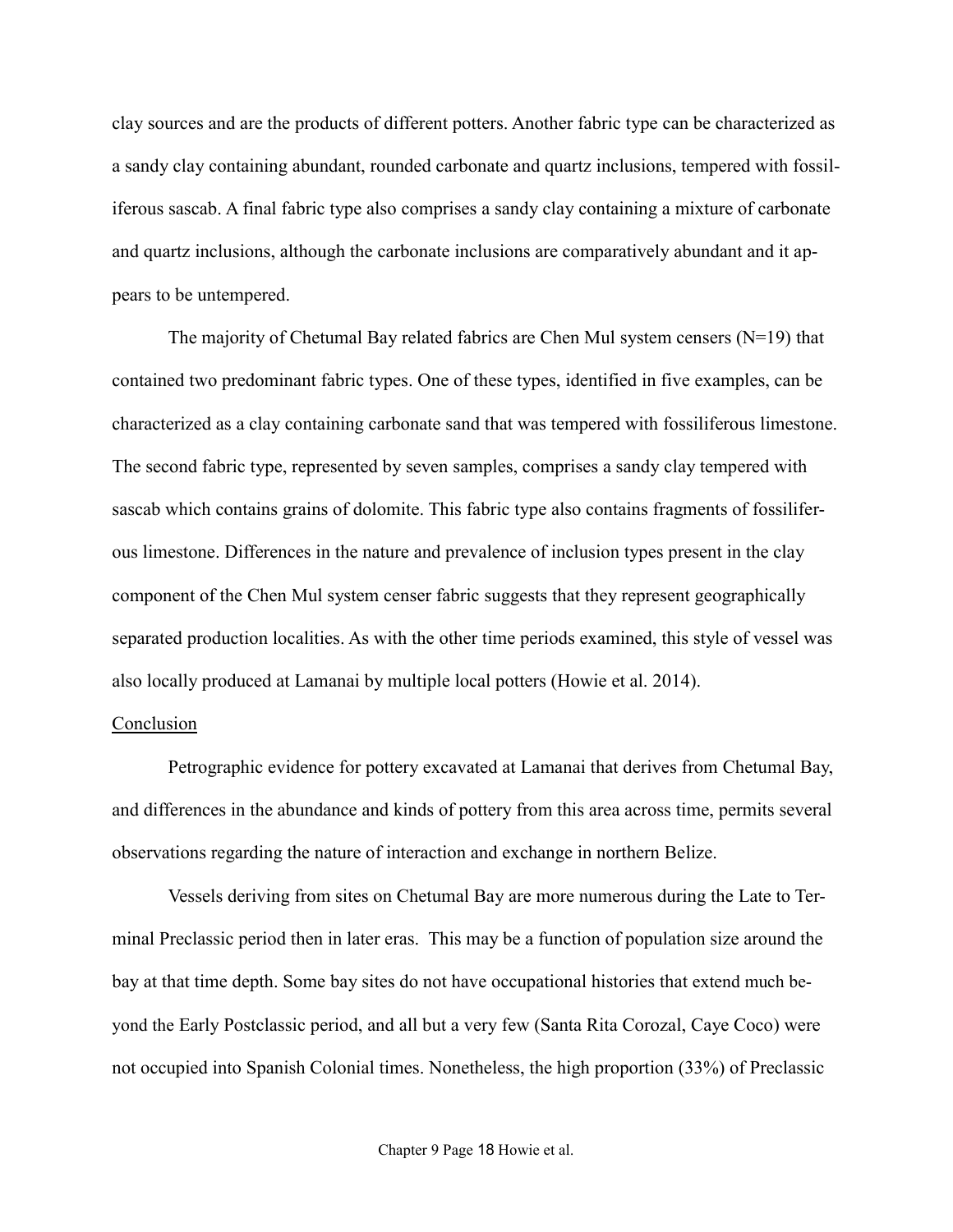clay sources and are the products of different potters. Another fabric type can be characterized as a sandy clay containing abundant, rounded carbonate and quartz inclusions, tempered with fossiliferous sascab. A final fabric type also comprises a sandy clay containing a mixture of carbonate and quartz inclusions, although the carbonate inclusions are comparatively abundant and it appears to be untempered.

The majority of Chetumal Bay related fabrics are Chen Mul system censers  $(N=19)$  that contained two predominant fabric types. One of these types, identified in five examples, can be characterized as a clay containing carbonate sand that was tempered with fossiliferous limestone. The second fabric type, represented by seven samples, comprises a sandy clay tempered with sascab which contains grains of dolomite. This fabric type also contains fragments of fossiliferous limestone. Differences in the nature and prevalence of inclusion types present in the clay component of the Chen Mul system censer fabric suggests that they represent geographically separated production localities. As with the other time periods examined, this style of vessel was also locally produced at Lamanai by multiple local potters (Howie et al. 2014).

# Conclusion

Petrographic evidence for pottery excavated at Lamanai that derives from Chetumal Bay, and differences in the abundance and kinds of pottery from this area across time, permits several observations regarding the nature of interaction and exchange in northern Belize.

Vessels deriving from sites on Chetumal Bay are more numerous during the Late to Terminal Preclassic period then in later eras. This may be a function of population size around the bay at that time depth. Some bay sites do not have occupational histories that extend much beyond the Early Postclassic period, and all but a very few (Santa Rita Corozal, Caye Coco) were not occupied into Spanish Colonial times. Nonetheless, the high proportion (33%) of Preclassic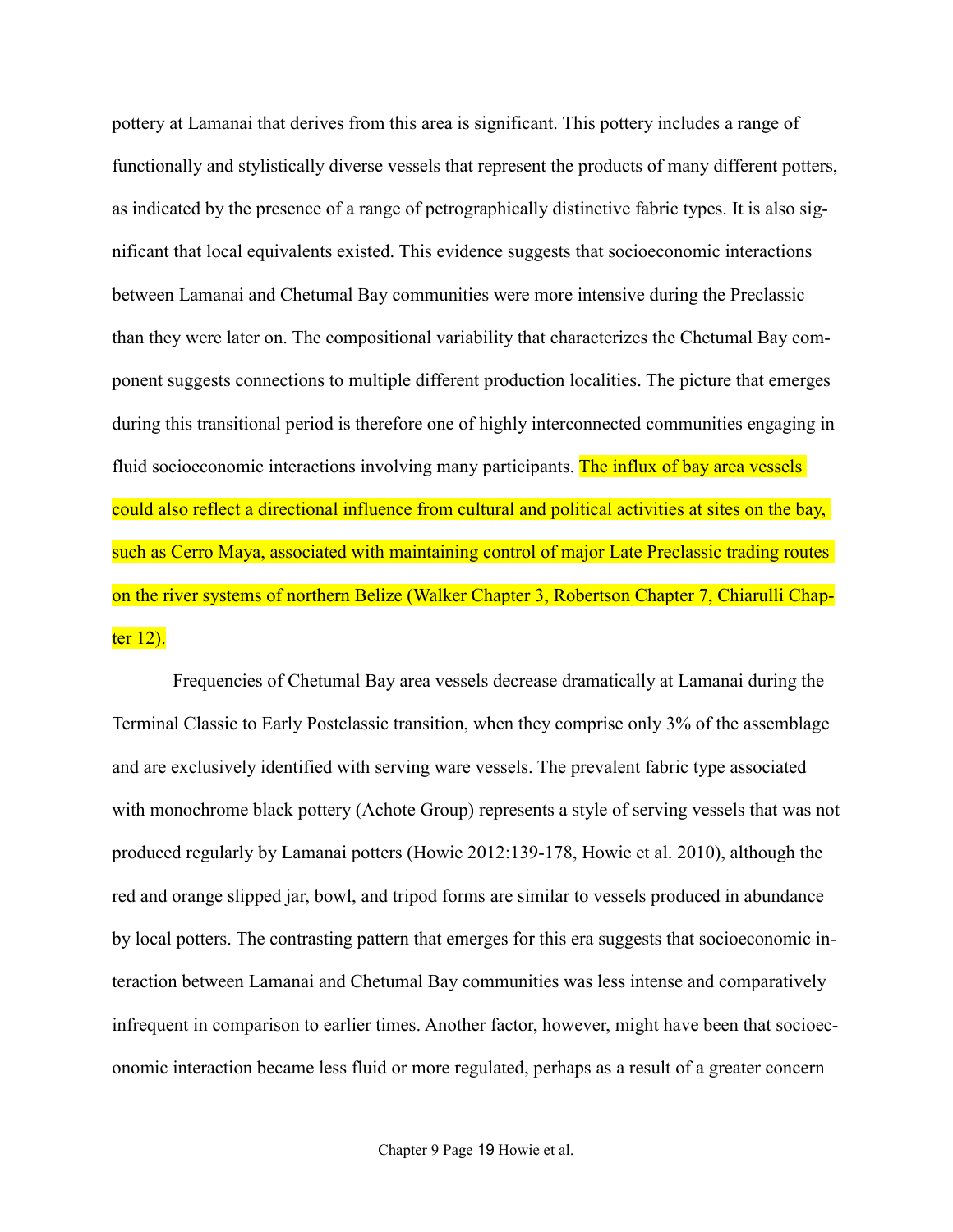pottery at Lamanai that derives from this area is significant. This pottery includes a range of functionally and stylistically diverse vessels that represent the products of many different potters, as indicated by the presence of a range of petrographically distinctive fabric types. It is also significant that local equivalents existed. This evidence suggests that socioeconomic interactions between Lamanai and Chetumal Bay communities were more intensive during the Preclassic than they were later on. The compositional variability that characterizes the Chetumal Bay component suggests connections to multiple different production localities. The picture that emerges during this transitional period is therefore one of highly interconnected communities engaging in fluid socioeconomic interactions involving many participants. The influx of bay area vessels could also reflect a directional influence from cultural and political activities at sites on the bay, such as Cerro Maya, associated with maintaining control of major Late Preclassic trading routes on the river systems of northern Belize (Walker Chapter 3, Robertson Chapter 7, Chiarulli Chapter 12).

Frequencies of Chetumal Bay area vessels decrease dramatically at Lamanai during the Terminal Classic to Early Postclassic transition, when they comprise only 3% of the assemblage and are exclusively identified with serving ware vessels. The prevalent fabric type associated with monochrome black pottery (Achote Group) represents a style of serving vessels that was not produced regularly by Lamanai potters (Howie 2012:139-178, Howie et al. 2010), although the red and orange slipped jar, bowl, and tripod forms are similar to vessels produced in abundance by local potters. The contrasting pattern that emerges for this era suggests that socioeconomic interaction between Lamanai and Chetumal Bay communities was less intense and comparatively infrequent in comparison to earlier times. Another factor, however, might have been that socioeconomic interaction became less fluid or more regulated, perhaps as a result of a greater concern